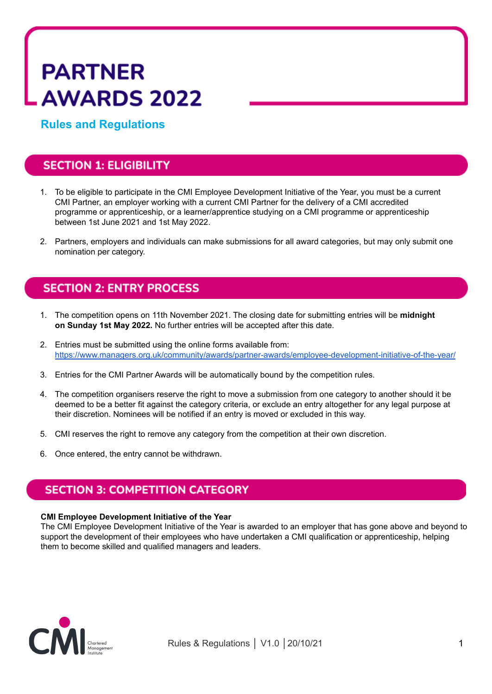# **PARTNER AWARDS 2022**

**Rules and Regulations**

## **SECTION 1: ELIGIBILITY**

- 1. To be eligible to participate in the CMI Employee Development Initiative of the Year, you must be a current CMI Partner, an employer working with a current CMI Partner for the delivery of a CMI accredited programme or apprenticeship, or a learner/apprentice studying on a CMI programme or apprenticeship between 1st June 2021 and 1st May 2022.
- 2. Partners, employers and individuals can make submissions for all award categories, but may only submit one nomination per category.

## **SECTION 2: ENTRY PROCESS**

- 1. The competition opens on 11th November 2021. The closing date for submitting entries will be **midnight on Sunday 1st May 2022.** No further entries will be accepted after this date.
- 2. Entries must be submitted using the online forms available from: <https://www.managers.org.uk/community/awards/partner-awards/employee-development-initiative-of-the-year/>
- 3. Entries for the CMI Partner Awards will be automatically bound by the competition rules.
- 4. The competition organisers reserve the right to move a submission from one category to another should it be deemed to be a better fit against the category criteria, or exclude an entry altogether for any legal purpose at their discretion. Nominees will be notified if an entry is moved or excluded in this way.
- 5. CMI reserves the right to remove any category from the competition at their own discretion.
- 6. Once entered, the entry cannot be withdrawn.

## **SECTION 3: COMPETITION CATEGORY**

#### **CMI Employee Development Initiative of the Year**

The CMI Employee Development Initiative of the Year is awarded to an employer that has gone above and beyond to support the development of their employees who have undertaken a CMI qualification or apprenticeship, helping them to become skilled and qualified managers and leaders.